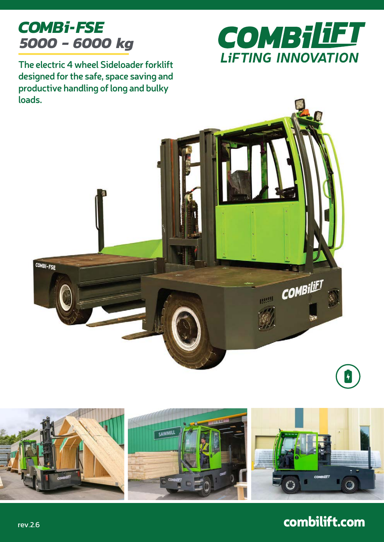# *COMBi-FSE 5000 - 6000 kg*



**The electric 4 wheel Sideloader forklift designed for the safe, space saving and productive handling of long and bulky loads.**





## combilift.com